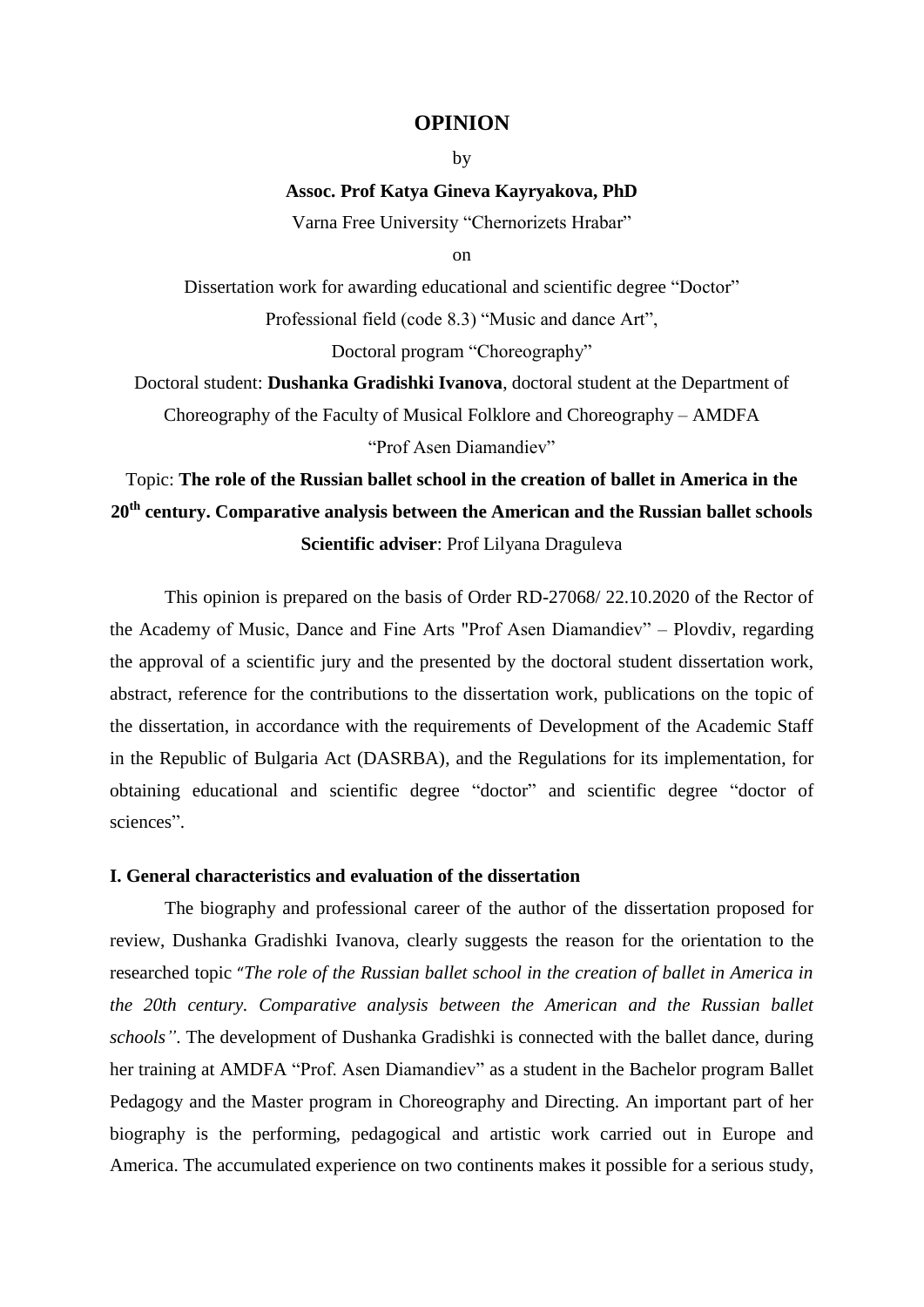## **OPINION**

by

#### **Assoc. Prof Katya Gineva Kayryakova, PhD**

Varna Free University "Chernorizets Hrabar"

 $\alpha$ 

Dissertation work for awarding educational and scientific degree "Doctor" Professional field (code 8.3) "Music and dance Art", Doctoral program "Choreography"

Doctoral student: **Dushanka Gradishki Ivanova**, doctoral student at the Department of Choreography of the Faculty of Musical Folklore and Choreography – AMDFA "Prof Asen Diamandiev"

# Topic: **The role of the Russian ballet school in the creation of ballet in America in the 20th century. Comparative analysis between the American and the Russian ballet schools Scientific adviser**: Prof Lilyana Draguleva

This opinion is prepared on the basis of Order RD-27068/ 22.10.2020 of the Rector of the Academy of Music, Dance and Fine Arts "Prof Asen Diamandiev" – Plovdiv, regarding the approval of a scientific jury and the presented by the doctoral student dissertation work, abstract, reference for the contributions to the dissertation work, publications on the topic of the dissertation, in accordance with the requirements of Development of the Academic Staff in the Republic of Bulgaria Act (DASRBA), and the Regulations for its implementation, for obtaining educational and scientific degree "doctor" and scientific degree "doctor of sciences".

## **I. General characteristics and evaluation of the dissertation**

The biography and professional career of the author of the dissertation proposed for review, Dushanka Gradishki Ivanova, clearly suggests the reason for the orientation to the researched topic "*The role of the Russian ballet school in the creation of ballet in America in the 20th century. Comparative analysis between the American and the Russian ballet schools"*. The development of Dushanka Gradishki is connected with the ballet dance, during her training at AMDFA "Prof. Asen Diamandiev" as a student in the Bachelor program Ballet Pedagogy and the Master program in Choreography and Directing. An important part of her biography is the performing, pedagogical and artistic work carried out in Europe and America. The accumulated experience on two continents makes it possible for a serious study,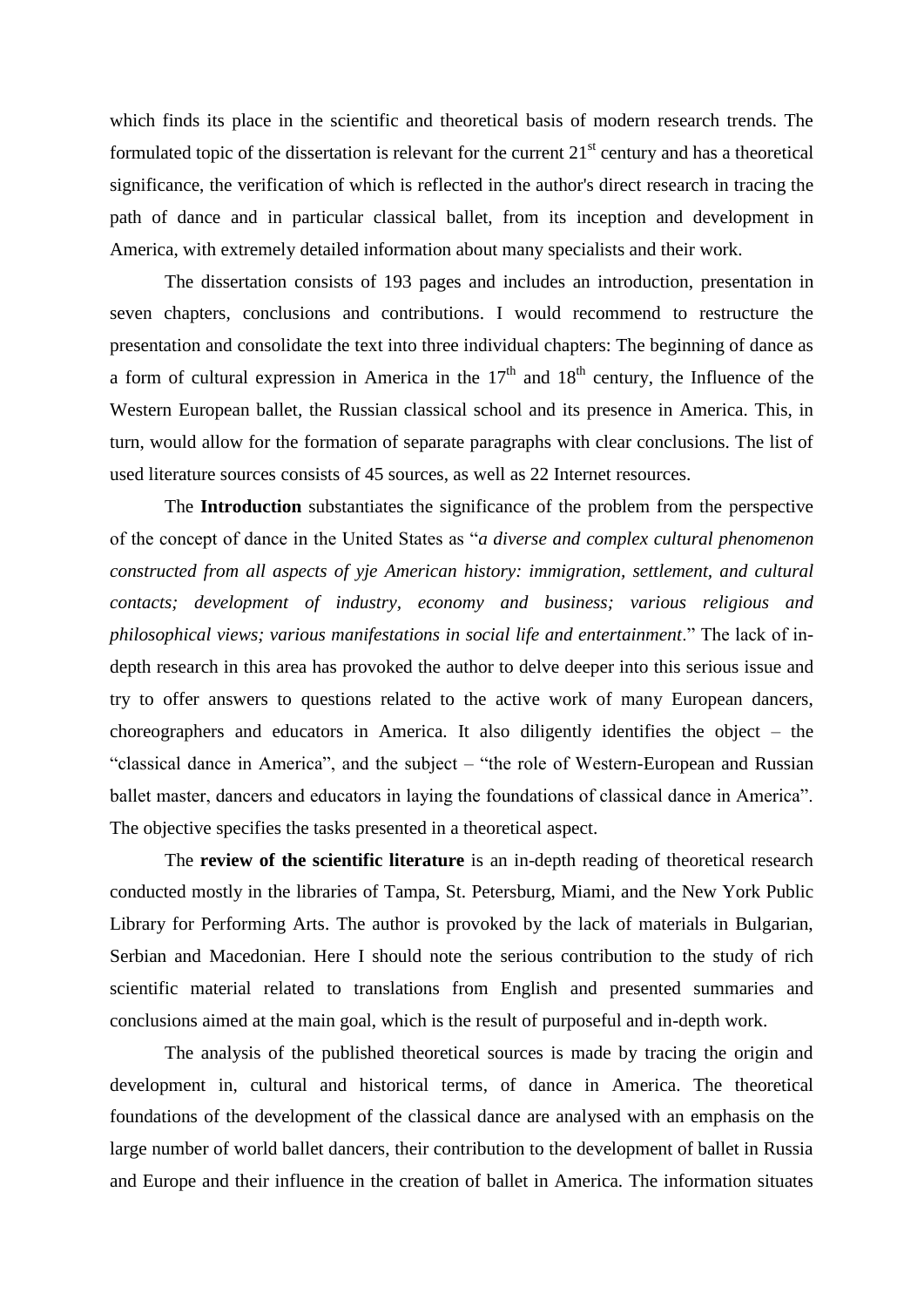which finds its place in the scientific and theoretical basis of modern research trends. The formulated topic of the dissertation is relevant for the current  $21<sup>st</sup>$  century and has a theoretical significance, the verification of which is reflected in the author's direct research in tracing the path of dance and in particular classical ballet, from its inception and development in America, with extremely detailed information about many specialists and their work.

The dissertation consists of 193 pages and includes an introduction, presentation in seven chapters, conclusions and contributions. I would recommend to restructure the presentation and consolidate the text into three individual chapters: The beginning of dance as a form of cultural expression in America in the  $17<sup>th</sup>$  and  $18<sup>th</sup>$  century, the Influence of the Western European ballet, the Russian classical school and its presence in America. This, in turn, would allow for the formation of separate paragraphs with clear conclusions. The list of used literature sources consists of 45 sources, as well as 22 Internet resources.

The **Introduction** substantiates the significance of the problem from the perspective of the concept of dance in the United States as "*a diverse and complex cultural phenomenon constructed from all aspects of yje American history: immigration, settlement, and cultural contacts; development of industry, economy and business; various religious and philosophical views; various manifestations in social life and entertainment*." The lack of indepth research in this area has provoked the author to delve deeper into this serious issue and try to offer answers to questions related to the active work of many European dancers, choreographers and educators in America. It also diligently identifies the object – the "classical dance in America", and the subject – "the role of Western-European and Russian ballet master, dancers and educators in laying the foundations of classical dance in America". The objective specifies the tasks presented in a theoretical aspect.

The **review of the scientific literature** is an in-depth reading of theoretical research conducted mostly in the libraries of Tampa, St. Petersburg, Miami, and the New York Public Library for Performing Arts. The author is provoked by the lack of materials in Bulgarian, Serbian and Macedonian. Here I should note the serious contribution to the study of rich scientific material related to translations from English and presented summaries and conclusions aimed at the main goal, which is the result of purposeful and in-depth work.

The analysis of the published theoretical sources is made by tracing the origin and development in, cultural and historical terms, of dance in America. The theoretical foundations of the development of the classical dance are analysed with an emphasis on the large number of world ballet dancers, their contribution to the development of ballet in Russia and Europe and their influence in the creation of ballet in America. The information situates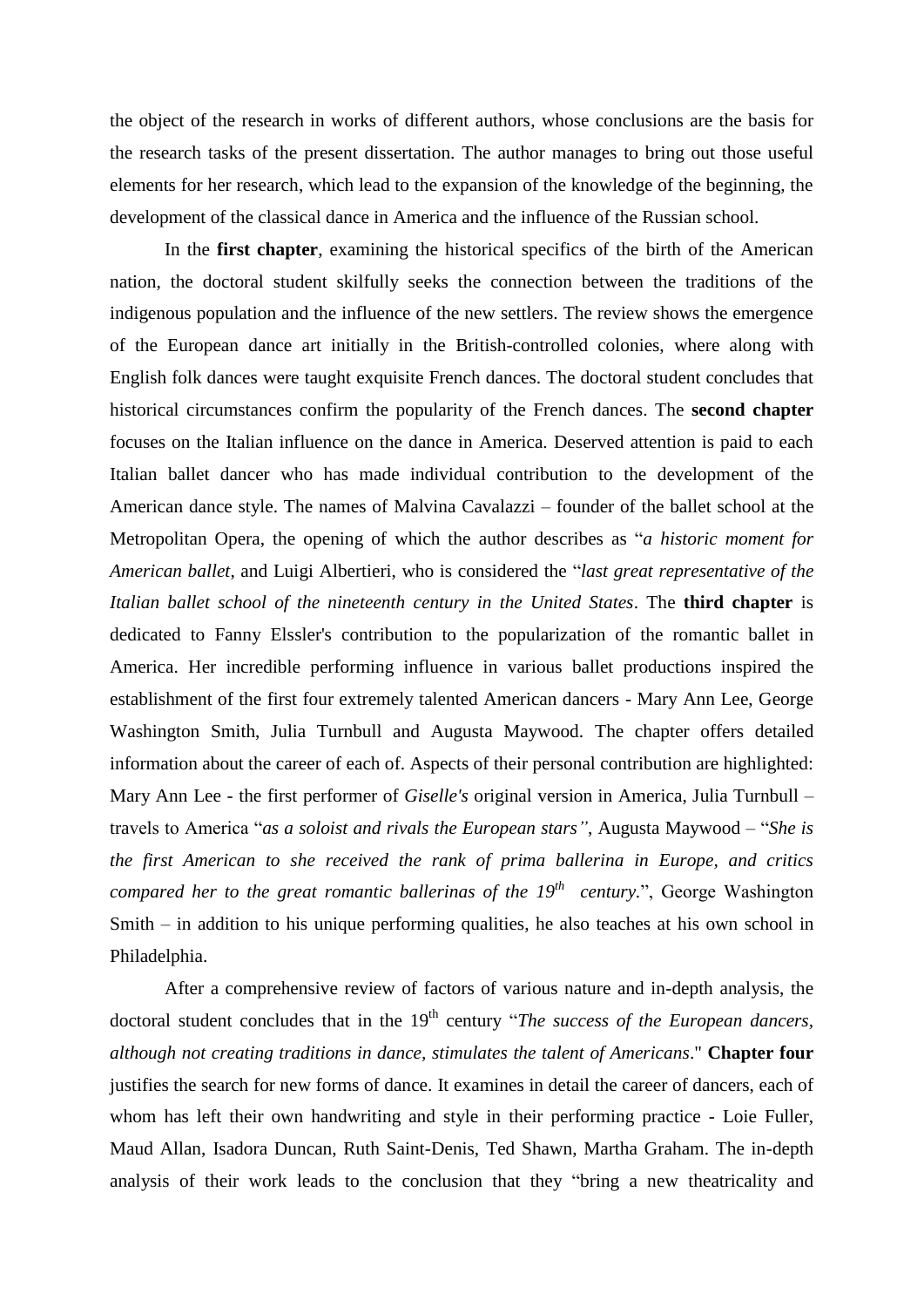the object of the research in works of different authors, whose conclusions are the basis for the research tasks of the present dissertation. The author manages to bring out those useful elements for her research, which lead to the expansion of the knowledge of the beginning, the development of the classical dance in America and the influence of the Russian school.

In the **first chapter**, examining the historical specifics of the birth of the American nation, the doctoral student skilfully seeks the connection between the traditions of the indigenous population and the influence of the new settlers. The review shows the emergence of the European dance art initially in the British-controlled colonies, where along with English folk dances were taught exquisite French dances. The doctoral student concludes that historical circumstances confirm the popularity of the French dances. The **second chapter** focuses on the Italian influence on the dance in America. Deserved attention is paid to each Italian ballet dancer who has made individual contribution to the development of the American dance style. The names of Malvina Cavalazzi – founder of the ballet school at the Metropolitan Opera, the opening of which the author describes as "*a historic moment for American ballet*, and Luigi Albertieri, who is considered the "*last great representative of the Italian ballet school of the nineteenth century in the United States*. The **third chapter** is dedicated to Fanny Elssler's contribution to the popularization of the romantic ballet in America. Her incredible performing influence in various ballet productions inspired the establishment of the first four extremely talented American dancers - Mary Ann Lee, George Washington Smith, Julia Turnbull and Augusta Maywood. The chapter offers detailed information about the career of each of. Aspects of their personal contribution are highlighted: Mary Ann Lee - the first performer of *Giselle's* original version in America, Julia Turnbull – travels to America "*as a soloist and rivals the European stars"*, Augusta Maywood – "*She is the first American to she received the rank of prima ballerina in Europe, and critics compared her to the great romantic ballerinas of the 19th century.*", George Washington Smith – in addition to his unique performing qualities, he also teaches at his own school in Philadelphia.

After a comprehensive review of factors of various nature and in-depth analysis, the doctoral student concludes that in the 19<sup>th</sup> century "*The success of the European dancers*, *although not creating traditions in dance, stimulates the talent of Americans*." **Chapter four** justifies the search for new forms of dance. It examines in detail the career of dancers, each of whom has left their own handwriting and style in their performing practice - Loie Fuller, Maud Allan, Isadora Duncan, Ruth Saint-Denis, Ted Shawn, Martha Graham. The in-depth analysis of their work leads to the conclusion that they "bring a new theatricality and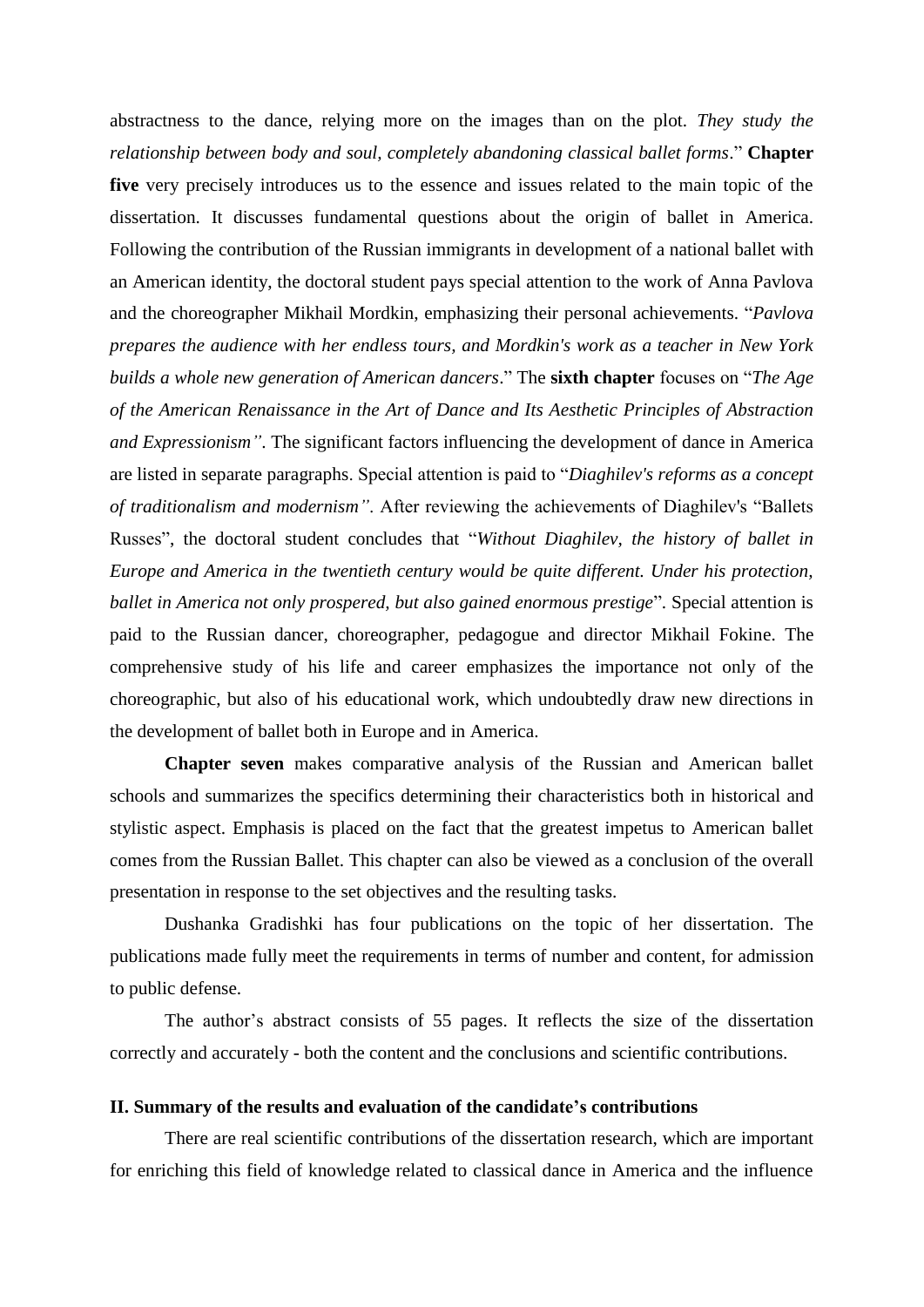abstractness to the dance, relying more on the images than on the plot. *They study the relationship between body and soul, completely abandoning classical ballet forms*." **Chapter five** very precisely introduces us to the essence and issues related to the main topic of the dissertation. It discusses fundamental questions about the origin of ballet in America. Following the contribution of the Russian immigrants in development of a national ballet with an American identity, the doctoral student pays special attention to the work of Anna Pavlova and the choreographer Mikhail Mordkin, emphasizing their personal achievements. "*Pavlova prepares the audience with her endless tours, and Mordkin's work as a teacher in New York builds a whole new generation of American dancers*." The **sixth chapter** focuses on "*The Age of the American Renaissance in the Art of Dance and Its Aesthetic Principles of Abstraction and Expressionism"*. The significant factors influencing the development of dance in America are listed in separate paragraphs. Special attention is paid to "*Diaghilev's reforms as a concept of traditionalism and modernism"*. After reviewing the achievements of Diaghilev's "Ballets Russes", the doctoral student concludes that "*Without Diaghilev, the history of ballet in Europe and America in the twentieth century would be quite different. Under his protection, ballet in America not only prospered, but also gained enormous prestige*". Special attention is paid to the Russian dancer, choreographer, pedagogue and director Mikhail Fokine. The comprehensive study of his life and career emphasizes the importance not only of the choreographic, but also of his educational work, which undoubtedly draw new directions in the development of ballet both in Europe and in America.

**Chapter seven** makes comparative analysis of the Russian and American ballet schools and summarizes the specifics determining their characteristics both in historical and stylistic aspect. Emphasis is placed on the fact that the greatest impetus to American ballet comes from the Russian Ballet. This chapter can also be viewed as a conclusion of the overall presentation in response to the set objectives and the resulting tasks.

Dushanka Gradishki has four publications on the topic of her dissertation. The publications made fully meet the requirements in terms of number and content, for admission to public defense.

The author's abstract consists of 55 pages. It reflects the size of the dissertation correctly and accurately - both the content and the conclusions and scientific contributions.

## **II. Summary of the results and evaluation of the candidate's contributions**

There are real scientific contributions of the dissertation research, which are important for enriching this field of knowledge related to classical dance in America and the influence